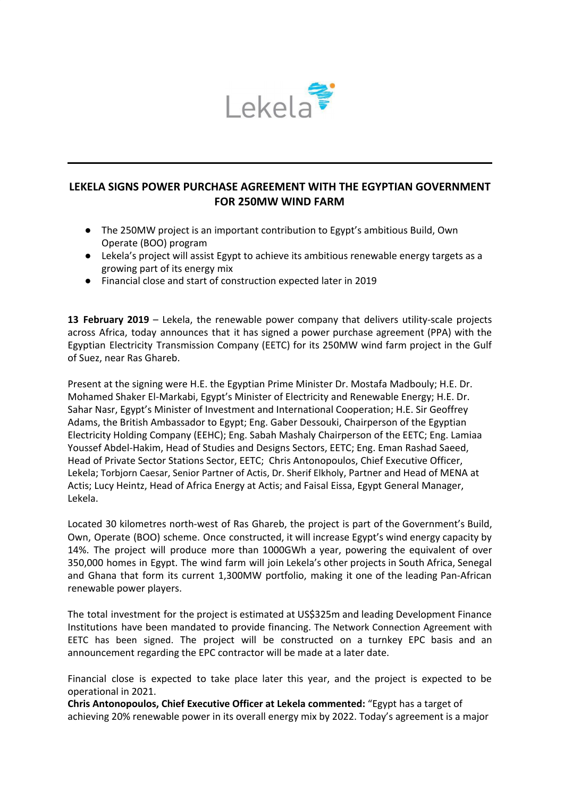

## **LEKELA SIGNS POWER PURCHASE AGREEMENT WITH THE EGYPTIAN GOVERNMENT FOR 250MW WIND FARM**

- The 250MW project is an important contribution to Egypt's ambitious Build, Own Operate (BOO) program
- Lekela's project will assist Egypt to achieve its ambitious renewable energy targets as a growing part of its energy mix
- Financial close and start of construction expected later in 2019

**13 February 2019** – Lekela, the renewable power company that delivers utility-scale projects across Africa, today announces that it has signed a power purchase agreement (PPA) with the Egyptian Electricity Transmission Company (EETC) for its 250MW wind farm project in the Gulf of Suez, near Ras Ghareb.

Present at the signing were H.E. the Egyptian Prime Minister Dr. Mostafa Madbouly; H.E. Dr. Mohamed Shaker El-Markabi, Egypt's Minister of Electricity and Renewable Energy; H.E. Dr. Sahar Nasr, Egypt's Minister of Investment and International Cooperation; H.E. Sir Geoffrey Adams, the British Ambassador to Egypt; Eng. Gaber Dessouki, Chairperson of the Egyptian Electricity Holding Company (EEHC); Eng. Sabah Mashaly Chairperson of the EETC; Eng. Lamiaa Youssef Abdel-Hakim, Head of Studies and Designs Sectors, EETC; Eng. Eman Rashad Saeed, Head of Private Sector Stations Sector, EETC; Chris Antonopoulos, Chief Executive Officer, Lekela; Torbjorn Caesar, Senior Partner of Actis, Dr. Sherif Elkholy, Partner and Head of MENA at Actis; Lucy Heintz, Head of Africa Energy at Actis; and Faisal Eissa, Egypt General Manager, Lekela.

Located 30 kilometres north-west of Ras Ghareb, the project is part of the Government's Build, Own, Operate (BOO) scheme. Once constructed, it will increase Egypt's wind energy capacity by 14%. The project will produce more than 1000GWh a year, powering the equivalent of over 350,000 homes in Egypt. The wind farm will join Lekela's other projects in South Africa, Senegal and Ghana that form its current 1,300MW portfolio, making it one of the leading Pan-African renewable power players.

The total investment for the project is estimated at US\$325m and leading Development Finance Institutions have been mandated to provide financing. The Network Connection Agreement with EETC has been signed. The project will be constructed on a turnkey EPC basis and an announcement regarding the EPC contractor will be made at a later date.

Financial close is expected to take place later this year, and the project is expected to be operational in 2021.

**Chris Antonopoulos, Chief Executive Officer at Lekela commented:** "Egypt has a target of achieving 20% renewable power in its overall energy mix by 2022. Today's agreement is a major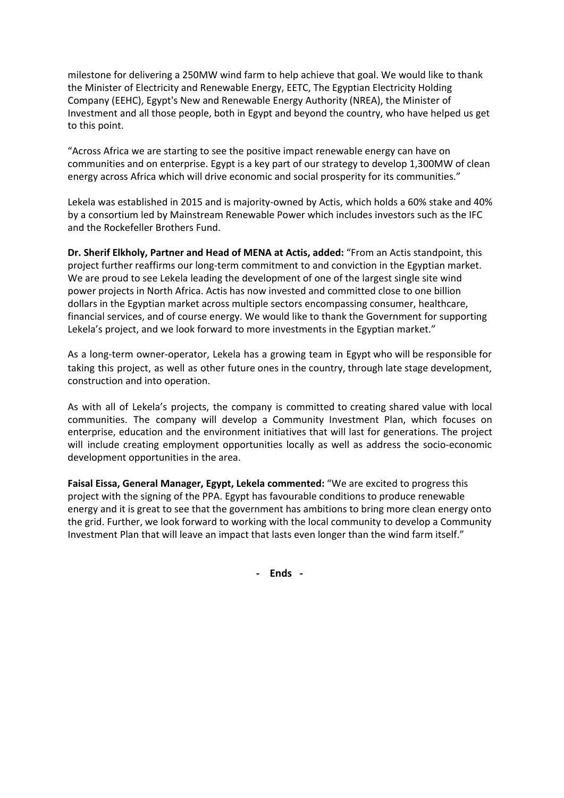milestone for delivering a 250MW wind farm to help achieve that goal. We would like to thank the Minister of Electricity and Renewable Energy, EETC, The Egyptian Electricity Holding Company (EEHC), Egypt's New and Renewable Energy Authority (NREA), the Minister of Investment and all those people, both in Egypt and beyond the country, who have helped us get to this point.

"Across Africa we are starting to see the positive impact renewable energy can have on communities and on enterprise. Egypt is a key part of our strategy to develop 1,300MW of clean energy across Africa which will drive economic and social prosperity for its communities."

Lekela was established in 2015 and is majority-owned by Actis, which holds a 60% stake and 40% by a consortium led by Mainstream Renewable Power which includes investors such as the IFC and the Rockefeller Brothers Fund.

**Dr. Sherif Elkholy, Partner and Head of MENA at Actis, added:** "From an Actis standpoint, this project further reaffirms our long-term commitment to and conviction in the Egyptian market. We are proud to see Lekela leading the development of one of the largest single site wind power projects in North Africa. Actis has now invested and committed close to one billion dollars in the Egyptian market across multiple sectors encompassing consumer, healthcare, financial services, and of course energy. We would like to thank the Government for supporting Lekela's project, and we look forward to more investments in the Egyptian market."

As a long-term owner-operator, Lekela has a growing team in Egypt who will be responsible for taking this project, as well as other future ones in the country, through late stage development, construction and into operation.

As with all of Lekela's projects, the company is committed to creating shared value with local communities. The company will develop a Community Investment Plan, which focuses on enterprise, education and the environment initiatives that will last for generations. The project will include creating employment opportunities locally as well as address the socio-economic development opportunities in the area.

**Faisal Eissa, General Manager, Egypt, Lekela commented:** "We are excited to progress this project with the signing of the PPA. Egypt has favourable conditions to produce renewable energy and it is great to see that the government has ambitions to bring more clean energy onto the grid. Further, we look forward to working with the local community to develop a Community Investment Plan that will leave an impact that lasts even longer than the wind farm itself."

**- Ends -**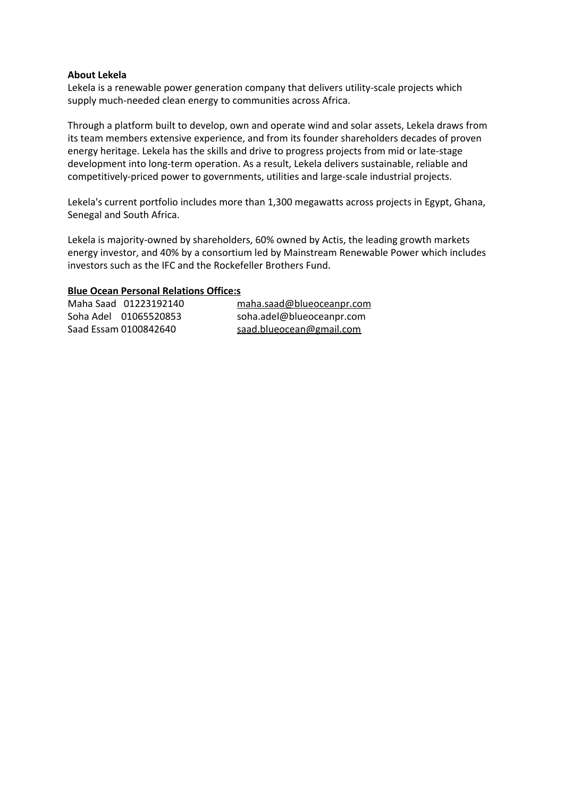## **About Lekela**

Lekela is a renewable power generation company that delivers utility-scale projects which supply much-needed clean energy to communities across Africa.

Through a platform built to develop, own and operate wind and solar assets, Lekela draws from its team members extensive experience, and from its founder shareholders decades of proven energy heritage. Lekela has the skills and drive to progress projects from mid or late-stage development into long-term operation. As a result, Lekela delivers sustainable, reliable and competitively-priced power to governments, utilities and large-scale industrial projects.

Lekela's current portfolio includes more than 1,300 megawatts across projects in Egypt, Ghana, Senegal and South Africa.

Lekela is majority-owned by shareholders, 60% owned by Actis, the leading growth markets energy investor, and 40% by a consortium led by Mainstream Renewable Power which includes investors such as the IFC and the Rockefeller Brothers Fund.

## **Blue Ocean Personal Relations Office:s**

| Maha Saad 01223192140 | maha.saad@blueoceanpr.com |
|-----------------------|---------------------------|
| Soha Adel 01065520853 | soha.adel@blueoceanpr.com |
| Saad Essam 0100842640 | saad.blueocean@gmail.com  |